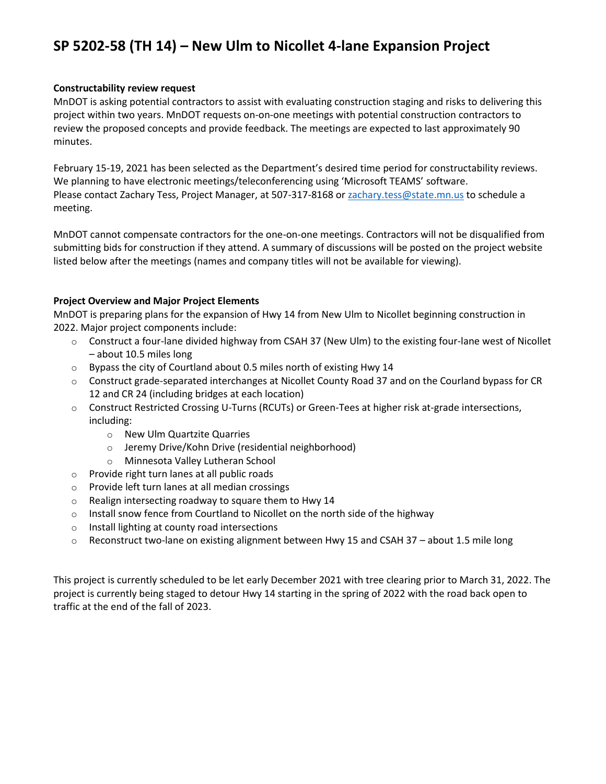## **SP 5202-58 (TH 14) – New Ulm to Nicollet 4-lane Expansion Project**

## **Constructability review request**

MnDOT is asking potential contractors to assist with evaluating construction staging and risks to delivering this project within two years. MnDOT requests on-on-one meetings with potential construction contractors to review the proposed concepts and provide feedback. The meetings are expected to last approximately 90 minutes.

February 15-19, 2021 has been selected as the Department's desired time period for constructability reviews. We planning to have electronic meetings/teleconferencing using 'Microsoft TEAMS' software. Please contact Zachary Tess, Project Manager, at 507-317-8168 o[r zachary.tess@state.mn.us](mailto:zachary.tess@state.mn.us) to schedule a meeting.

MnDOT cannot compensate contractors for the one-on-one meetings. Contractors will not be disqualified from submitting bids for construction if they attend. A summary of discussions will be posted on the project website listed below after the meetings (names and company titles will not be available for viewing).

## **Project Overview and Major Project Elements**

MnDOT is preparing plans for the expansion of Hwy 14 from New Ulm to Nicollet beginning construction in 2022. Major project components include:

- $\circ$  Construct a four-lane divided highway from CSAH 37 (New Ulm) to the existing four-lane west of Nicollet – about 10.5 miles long
- $\circ$  Bypass the city of Courtland about 0.5 miles north of existing Hwy 14
- o Construct grade-separated interchanges at Nicollet County Road 37 and on the Courland bypass for CR 12 and CR 24 (including bridges at each location)
- o Construct Restricted Crossing U-Turns (RCUTs) or Green-Tees at higher risk at-grade intersections, including:
	- o New Ulm Quartzite Quarries
	- o Jeremy Drive/Kohn Drive (residential neighborhood)
	- o Minnesota Valley Lutheran School
- o Provide right turn lanes at all public roads
- o Provide left turn lanes at all median crossings
- o Realign intersecting roadway to square them to Hwy 14
- $\circ$  Install snow fence from Courtland to Nicollet on the north side of the highway
- o Install lighting at county road intersections
- $\circ$  Reconstruct two-lane on existing alignment between Hwy 15 and CSAH 37 about 1.5 mile long

This project is currently scheduled to be let early December 2021 with tree clearing prior to March 31, 2022. The project is currently being staged to detour Hwy 14 starting in the spring of 2022 with the road back open to traffic at the end of the fall of 2023.